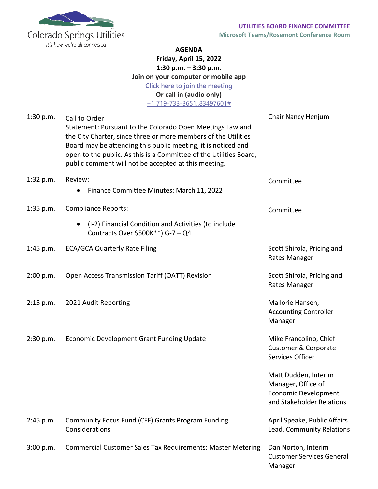

## **AGENDA Friday, April 15, 2022 1:30 p.m. – 3:30 p.m. Join on your computer or mobile app [Click here to join the meeting](https://teams.microsoft.com/l/meetup-join/19%3ameeting_NWYwY2I2MjMtNWJlNC00MDM5LWEwMDYtZjBiZDYxYjUxODli%40thread.v2/0?context=%7b%22Tid%22%3a%224ab4a7ce-079f-4346-b2b7-815f0d471eec%22%2c%22Oid%22%3a%22534bc1b1-6c9d-4f5a-9466-d020ddf237ee%22%7d) Or call in (audio only)**

[+1 719-733-3651,,83497601#](tel:+17197333651,,83497601#%20)

| 1:30 p.m.   | Call to Order<br>Statement: Pursuant to the Colorado Open Meetings Law and<br>the City Charter, since three or more members of the Utilities<br>Board may be attending this public meeting, it is noticed and<br>open to the public. As this is a Committee of the Utilities Board,<br>public comment will not be accepted at this meeting. | Chair Nancy Henjum                                                                                     |
|-------------|---------------------------------------------------------------------------------------------------------------------------------------------------------------------------------------------------------------------------------------------------------------------------------------------------------------------------------------------|--------------------------------------------------------------------------------------------------------|
| 1:32 p.m.   | Review:<br>Finance Committee Minutes: March 11, 2022<br>$\bullet$                                                                                                                                                                                                                                                                           | Committee                                                                                              |
| $1:35$ p.m. | <b>Compliance Reports:</b><br>(I-2) Financial Condition and Activities (to include<br>$\bullet$<br>Contracts Over \$500K**) G-7 - Q4                                                                                                                                                                                                        | Committee                                                                                              |
| 1:45 p.m.   | <b>ECA/GCA Quarterly Rate Filing</b>                                                                                                                                                                                                                                                                                                        | Scott Shirola, Pricing and<br>Rates Manager                                                            |
| 2:00 p.m.   | Open Access Transmission Tariff (OATT) Revision                                                                                                                                                                                                                                                                                             | Scott Shirola, Pricing and<br>Rates Manager                                                            |
| 2:15 p.m.   | 2021 Audit Reporting                                                                                                                                                                                                                                                                                                                        | Mallorie Hansen,<br><b>Accounting Controller</b><br>Manager                                            |
| 2:30 p.m.   | Economic Development Grant Funding Update                                                                                                                                                                                                                                                                                                   | Mike Francolino, Chief<br>Customer & Corporate<br>Services Officer                                     |
|             |                                                                                                                                                                                                                                                                                                                                             | Matt Dudden, Interim<br>Manager, Office of<br><b>Economic Development</b><br>and Stakeholder Relations |
| 2:45 p.m.   | Community Focus Fund (CFF) Grants Program Funding<br>Considerations                                                                                                                                                                                                                                                                         | April Speake, Public Affairs<br>Lead, Community Relations                                              |
| 3:00 p.m.   | <b>Commercial Customer Sales Tax Requirements: Master Metering</b>                                                                                                                                                                                                                                                                          | Dan Norton, Interim<br><b>Customer Services General</b><br>Manager                                     |